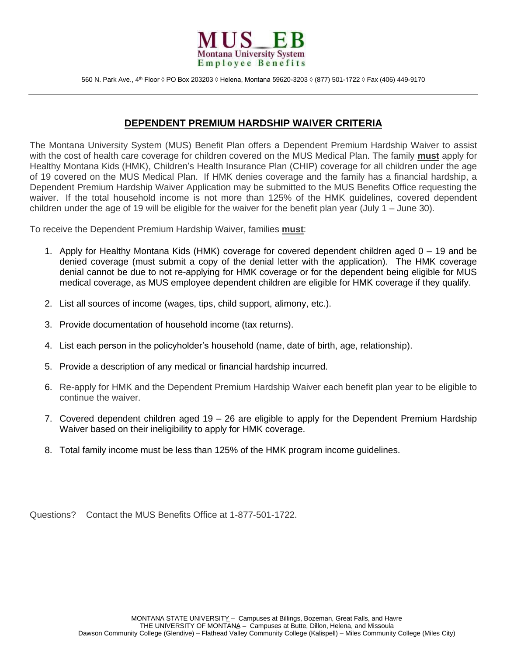

## **DEPENDENT PREMIUM HARDSHIP WAIVER CRITERIA**

 The Montana University System (MUS) Benefit Plan offers a Dependent Premium Hardship Waiver to assist with the cost of health care coverage for children covered on the MUS Medical Plan. The family **must** apply for Healthy Montana Kids (HMK), Children's Health Insurance Plan (CHIP) coverage for all children under the age of 19 covered on the MUS Medical Plan. If HMK denies coverage and the family has a financial hardship, a Dependent Premium Hardship Waiver Application may be submitted to the MUS Benefits Office requesting the waiver. If the total household income is not more than 125% of the HMK guidelines, covered dependent children under the age of 19 will be eligible for the waiver for the benefit plan year (July 1 – June 30).

To receive the Dependent Premium Hardship Waiver, families **must**:

- denied coverage (must submit a copy of the denial letter with the application). The HMK coverage denial cannot be due to not re-applying for HMK coverage or for the dependent being eligible for MUS medical coverage, as MUS employee dependent children are eligible for HMK coverage if they qualify. 1. Apply for Healthy Montana Kids (HMK) coverage for covered dependent children aged 0 – 19 and be
- 2. List all sources of income (wages, tips, child support, alimony, etc.).
- 3. Provide documentation of household income (tax returns).
- 4. List each person in the policyholder's household (name, date of birth, age, relationship).
- 5. Provide a description of any medical or financial hardship incurred.
- 6. Re-apply for HMK and the Dependent Premium Hardship Waiver each benefit plan year to be eligible to continue the waiver.
- 7. Covered dependent children aged 19 26 are eligible to apply for the Dependent Premium Hardship Waiver based on their ineligibility to apply for HMK coverage.
- 8. Total family income must be less than 125% of the HMK program income guidelines.

Questions? Contact the MUS Benefits Office at 1-877-501-1722.